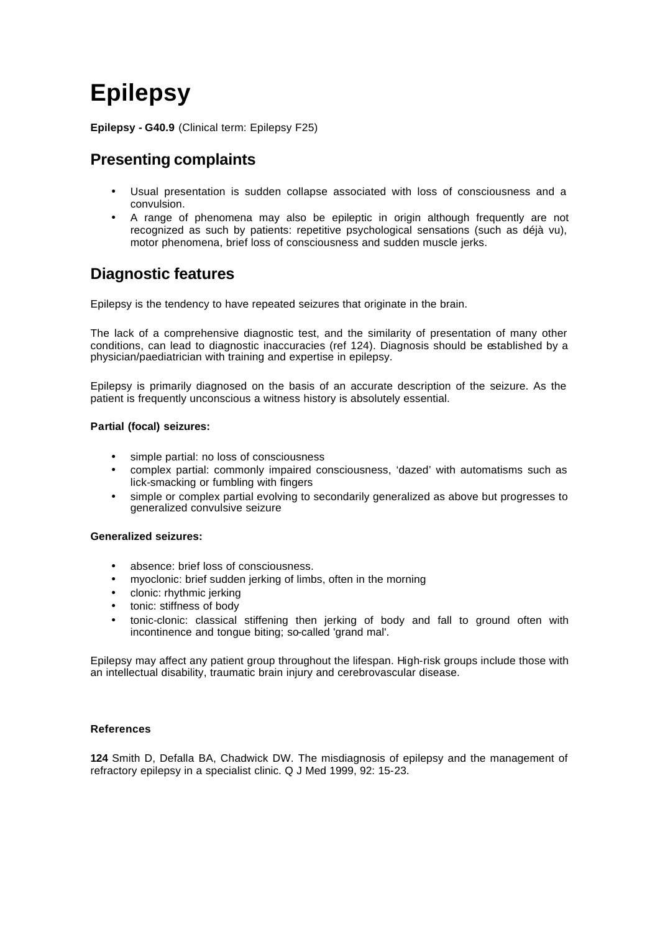# **Epilepsy**

**Epilepsy - G40.9** (Clinical term: Epilepsy F25)

# **Presenting complaints**

- Usual presentation is sudden collapse associated with loss of consciousness and a convulsion.
- A range of phenomena may also be epileptic in origin although frequently are not recognized as such by patients: repetitive psychological sensations (such as déjà vu), motor phenomena, brief loss of consciousness and sudden muscle jerks.

# **Diagnostic features**

Epilepsy is the tendency to have repeated seizures that originate in the brain.

The lack of a comprehensive diagnostic test, and the similarity of presentation of many other conditions, can lead to diagnostic inaccuracies (ref 124). Diagnosis should be established by a physician/paediatrician with training and expertise in epilepsy.

Epilepsy is primarily diagnosed on the basis of an accurate description of the seizure. As the patient is frequently unconscious a witness history is absolutely essential.

#### **Partial (focal) seizures:**

- simple partial: no loss of consciousness
- complex partial: commonly impaired consciousness, 'dazed' with automatisms such as lick-smacking or fumbling with fingers
- simple or complex partial evolving to secondarily generalized as above but progresses to generalized convulsive seizure

#### **Generalized seizures:**

- absence: brief loss of consciousness.
- myoclonic: brief sudden jerking of limbs, often in the morning
- clonic: rhythmic jerking
- tonic: stiffness of body
- tonic-clonic: classical stiffening then jerking of body and fall to ground often with incontinence and tongue biting; so-called 'grand mal'.

Epilepsy may affect any patient group throughout the lifespan. High-risk groups include those with an intellectual disability, traumatic brain injury and cerebrovascular disease.

#### **References**

**124** Smith D, Defalla BA, Chadwick DW. The misdiagnosis of epilepsy and the management of refractory epilepsy in a specialist clinic. Q J Med 1999, 92: 15-23.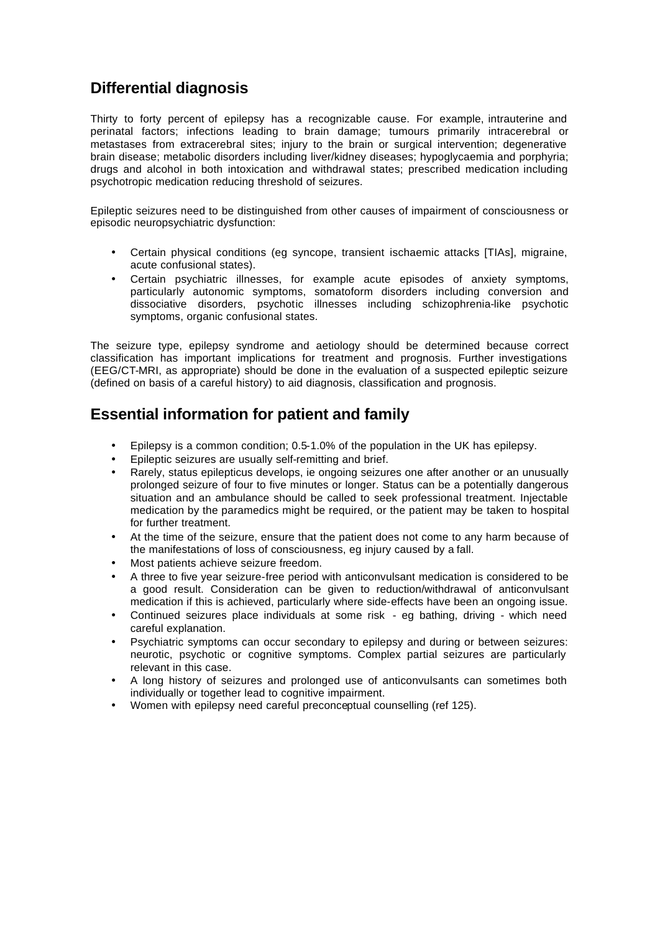# **Differential diagnosis**

Thirty to forty percent of epilepsy has a recognizable cause. For example, intrauterine and perinatal factors; infections leading to brain damage; tumours primarily intracerebral or metastases from extracerebral sites; injury to the brain or surgical intervention; degenerative brain disease; metabolic disorders including liver/kidney diseases; hypoglycaemia and porphyria; drugs and alcohol in both intoxication and withdrawal states; prescribed medication including psychotropic medication reducing threshold of seizures.

Epileptic seizures need to be distinguished from other causes of impairment of consciousness or episodic neuropsychiatric dysfunction:

- Certain physical conditions (eg syncope, transient ischaemic attacks [TIAs], migraine, acute confusional states).
- Certain psychiatric illnesses, for example acute episodes of anxiety symptoms, particularly autonomic symptoms, somatoform disorders including conversion and dissociative disorders, psychotic illnesses including schizophrenia-like psychotic symptoms, organic confusional states.

The seizure type, epilepsy syndrome and aetiology should be determined because correct classification has important implications for treatment and prognosis. Further investigations (EEG/CT-MRI, as appropriate) should be done in the evaluation of a suspected epileptic seizure (defined on basis of a careful history) to aid diagnosis, classification and prognosis.

# **Essential information for patient and family**

- Epilepsy is a common condition; 0.5-1.0% of the population in the UK has epilepsy.
- Epileptic seizures are usually self-remitting and brief.
- Rarely, status epilepticus develops, ie ongoing seizures one after another or an unusually prolonged seizure of four to five minutes or longer. Status can be a potentially dangerous situation and an ambulance should be called to seek professional treatment. Injectable medication by the paramedics might be required, or the patient may be taken to hospital for further treatment.
- At the time of the seizure, ensure that the patient does not come to any harm because of the manifestations of loss of consciousness, eg injury caused by a fall.
- Most patients achieve seizure freedom.
- A three to five year seizure-free period with anticonvulsant medication is considered to be a good result. Consideration can be given to reduction/withdrawal of anticonvulsant medication if this is achieved, particularly where side-effects have been an ongoing issue.
- Continued seizures place individuals at some risk eg bathing, driving which need careful explanation.
- Psychiatric symptoms can occur secondary to epilepsy and during or between seizures: neurotic, psychotic or cognitive symptoms. Complex partial seizures are particularly relevant in this case.
- A long history of seizures and prolonged use of anticonvulsants can sometimes both individually or together lead to cognitive impairment.
- Women with epilepsy need careful preconceptual counselling (ref 125).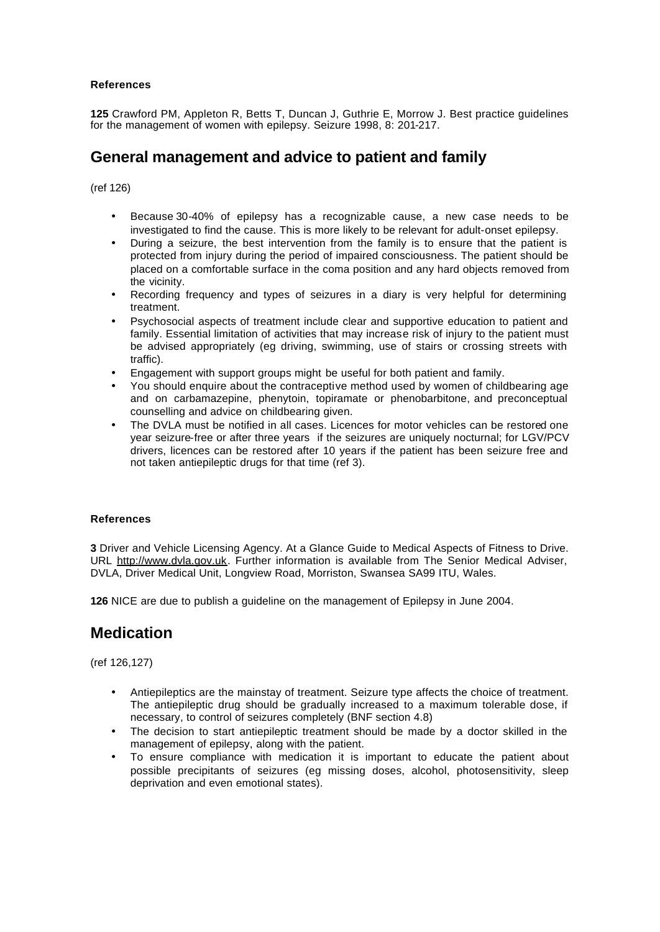#### **References**

**125** Crawford PM, Appleton R, Betts T, Duncan J, Guthrie E, Morrow J. Best practice guidelines for the management of women with epilepsy. Seizure 1998, 8: 201-217.

### **General management and advice to patient and family**

(ref 126)

- Because 30-40% of epilepsy has a recognizable cause, a new case needs to be investigated to find the cause. This is more likely to be relevant for adult-onset epilepsy.
- During a seizure, the best intervention from the family is to ensure that the patient is protected from injury during the period of impaired consciousness. The patient should be placed on a comfortable surface in the coma position and any hard objects removed from the vicinity.
- Recording frequency and types of seizures in a diary is very helpful for determining treatment.
- Psychosocial aspects of treatment include clear and supportive education to patient and family. Essential limitation of activities that may increase risk of injury to the patient must be advised appropriately (eg driving, swimming, use of stairs or crossing streets with traffic).
- Engagement with support groups might be useful for both patient and family.
- You should enquire about the contraceptive method used by women of childbearing age and on carbamazepine, phenytoin, topiramate or phenobarbitone, and preconceptual counselling and advice on childbearing given.
- The DVLA must be notified in all cases. Licences for motor vehicles can be restored one year seizure-free or after three years if the seizures are uniquely nocturnal; for LGV/PCV drivers, licences can be restored after 10 years if the patient has been seizure free and not taken antiepileptic drugs for that time (ref 3).

#### **References**

**3** Driver and Vehicle Licensing Agency. At a Glance Guide to Medical Aspects of Fitness to Drive. URL http://www.dvla.gov.uk. Further information is available from The Senior Medical Adviser, DVLA, Driver Medical Unit, Longview Road, Morriston, Swansea SA99 ITU, Wales.

**126** NICE are due to publish a guideline on the management of Epilepsy in June 2004.

### **Medication**

(ref 126,127)

- Antiepileptics are the mainstay of treatment. Seizure type affects the choice of treatment. The antiepileptic drug should be gradually increased to a maximum tolerable dose, if necessary, to control of seizures completely (BNF section 4.8)
- The decision to start antiepileptic treatment should be made by a doctor skilled in the management of epilepsy, along with the patient.
- To ensure compliance with medication it is important to educate the patient about possible precipitants of seizures (eg missing doses, alcohol, photosensitivity, sleep deprivation and even emotional states).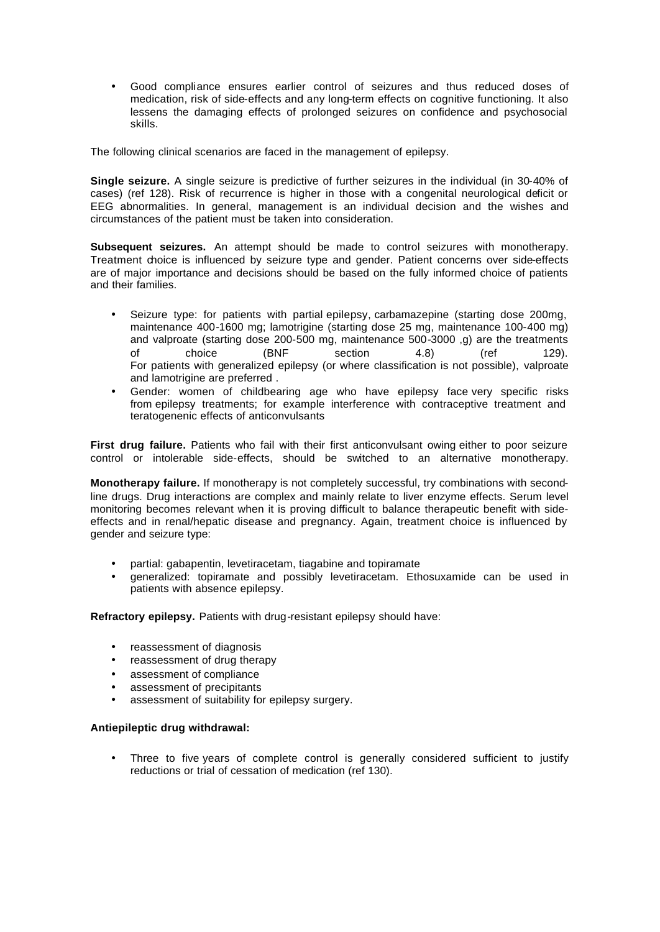• Good compliance ensures earlier control of seizures and thus reduced doses of medication, risk of side-effects and any long-term effects on cognitive functioning. It also lessens the damaging effects of prolonged seizures on confidence and psychosocial skills.

The following clinical scenarios are faced in the management of epilepsy.

**Single seizure.** A single seizure is predictive of further seizures in the individual (in 30-40% of cases) (ref 128). Risk of recurrence is higher in those with a congenital neurological deficit or EEG abnormalities. In general, management is an individual decision and the wishes and circumstances of the patient must be taken into consideration.

**Subsequent seizures.** An attempt should be made to control seizures with monotherapy. Treatment choice is influenced by seizure type and gender. Patient concerns over side-effects are of major importance and decisions should be based on the fully informed choice of patients and their families.

- Seizure type: for patients with partial epilepsy, carbamazepine (starting dose 200mg, maintenance 400-1600 mg; lamotrigine (starting dose 25 mg, maintenance 100-400 mg) and valproate (starting dose 200-500 mg, maintenance 500-3000 ,g) are the treatments of choice (BNF section 4.8) (ref 129). For patients with generalized epilepsy (or where classification is not possible), valproate and lamotrigine are preferred .
- Gender: women of childbearing age who have epilepsy face very specific risks from epilepsy treatments; for example interference with contraceptive treatment and teratogenenic effects of anticonvulsants

First drug failure. Patients who fail with their first anticonvulsant owing either to poor seizure control or intolerable side-effects, should be switched to an alternative monotherapy.

**Monotherapy failure.** If monotherapy is not completely successful, try combinations with secondline drugs. Drug interactions are complex and mainly relate to liver enzyme effects. Serum level monitoring becomes relevant when it is proving difficult to balance therapeutic benefit with sideeffects and in renal/hepatic disease and pregnancy. Again, treatment choice is influenced by gender and seizure type:

- partial: gabapentin, levetiracetam, tiagabine and topiramate
- generalized: topiramate and possibly levetiracetam. Ethosuxamide can be used in patients with absence epilepsy.

**Refractory epilepsy.** Patients with drug-resistant epilepsy should have:

- reassessment of diagnosis
- reassessment of drug therapy
- assessment of compliance
- assessment of precipitants
- assessment of suitability for epilepsy surgery.

#### **Antiepileptic drug withdrawal:**

Three to five years of complete control is generally considered sufficient to justify reductions or trial of cessation of medication (ref 130).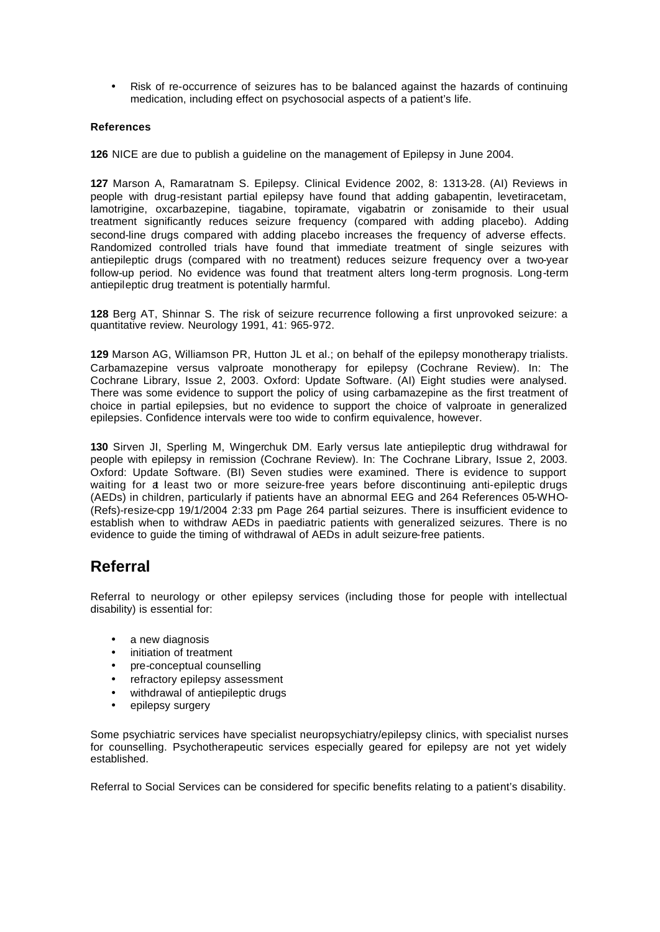• Risk of re-occurrence of seizures has to be balanced against the hazards of continuing medication, including effect on psychosocial aspects of a patient's life.

#### **References**

**126** NICE are due to publish a guideline on the management of Epilepsy in June 2004.

**127** Marson A, Ramaratnam S. Epilepsy. Clinical Evidence 2002, 8: 1313-28. (AI) Reviews in people with drug-resistant partial epilepsy have found that adding gabapentin, levetiracetam, lamotrigine, oxcarbazepine, tiagabine, topiramate, vigabatrin or zonisamide to their usual treatment significantly reduces seizure frequency (compared with adding placebo). Adding second-line drugs compared with adding placebo increases the frequency of adverse effects. Randomized controlled trials have found that immediate treatment of single seizures with antiepileptic drugs (compared with no treatment) reduces seizure frequency over a two-year follow-up period. No evidence was found that treatment alters long-term prognosis. Long-term antiepileptic drug treatment is potentially harmful.

**128** Berg AT, Shinnar S. The risk of seizure recurrence following a first unprovoked seizure: a quantitative review. Neurology 1991, 41: 965-972.

**129** Marson AG, Williamson PR, Hutton JL et al.; on behalf of the epilepsy monotherapy trialists. Carbamazepine versus valproate monotherapy for epilepsy (Cochrane Review). In: The Cochrane Library, Issue 2, 2003. Oxford: Update Software. (AI) Eight studies were analysed. There was some evidence to support the policy of using carbamazepine as the first treatment of choice in partial epilepsies, but no evidence to support the choice of valproate in generalized epilepsies. Confidence intervals were too wide to confirm equivalence, however.

**130** Sirven JI, Sperling M, Wingerchuk DM. Early versus late antiepileptic drug withdrawal for people with epilepsy in remission (Cochrane Review). In: The Cochrane Library, Issue 2, 2003. Oxford: Update Software. (BI) Seven studies were examined. There is evidence to support waiting for a least two or more seizure-free years before discontinuing anti-epileptic drugs (AEDs) in children, particularly if patients have an abnormal EEG and 264 References 05-WHO- (Refs)-resize-cpp 19/1/2004 2:33 pm Page 264 partial seizures. There is insufficient evidence to establish when to withdraw AEDs in paediatric patients with generalized seizures. There is no evidence to guide the timing of withdrawal of AEDs in adult seizure-free patients.

## **Referral**

Referral to neurology or other epilepsy services (including those for people with intellectual disability) is essential for:

- a new diagnosis
- initiation of treatment
- pre-conceptual counselling
- refractory epilepsy assessment
- withdrawal of antiepileptic drugs
- epilepsy surgery

Some psychiatric services have specialist neuropsychiatry/epilepsy clinics, with specialist nurses for counselling. Psychotherapeutic services especially geared for epilepsy are not yet widely established.

Referral to Social Services can be considered for specific benefits relating to a patient's disability.